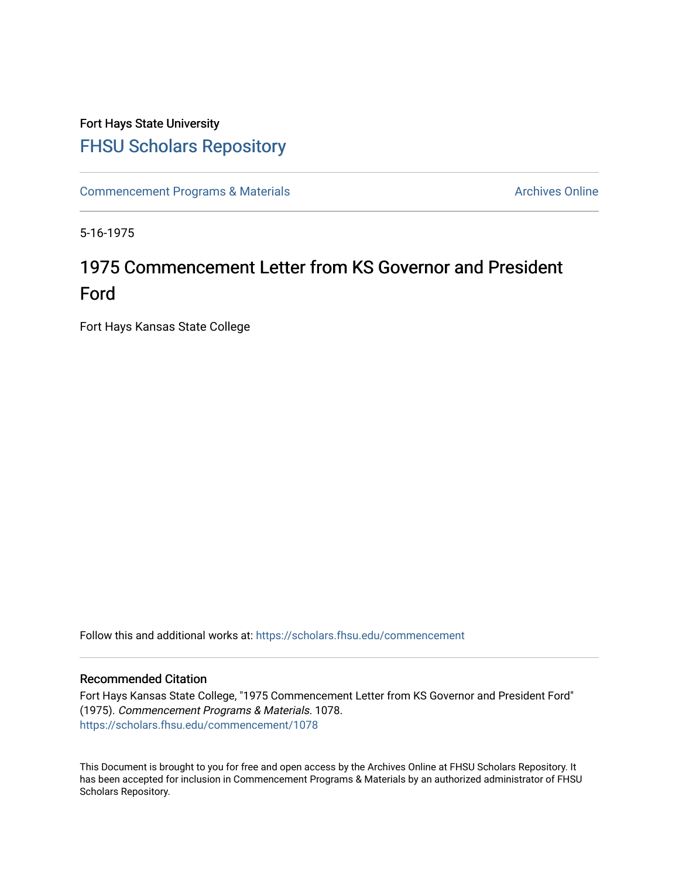# Fort Hays State University [FHSU Scholars Repository](https://scholars.fhsu.edu/)

[Commencement Programs & Materials](https://scholars.fhsu.edu/commencement) **Archives Online** Archives Online

5-16-1975

# 1975 Commencement Letter from KS Governor and President Ford

Fort Hays Kansas State College

Follow this and additional works at: [https://scholars.fhsu.edu/commencement](https://scholars.fhsu.edu/commencement?utm_source=scholars.fhsu.edu%2Fcommencement%2F1078&utm_medium=PDF&utm_campaign=PDFCoverPages)

## Recommended Citation

Fort Hays Kansas State College, "1975 Commencement Letter from KS Governor and President Ford" (1975). Commencement Programs & Materials. 1078. [https://scholars.fhsu.edu/commencement/1078](https://scholars.fhsu.edu/commencement/1078?utm_source=scholars.fhsu.edu%2Fcommencement%2F1078&utm_medium=PDF&utm_campaign=PDFCoverPages) 

This Document is brought to you for free and open access by the Archives Online at FHSU Scholars Repository. It has been accepted for inclusion in Commencement Programs & Materials by an authorized administrator of FHSU Scholars Repository.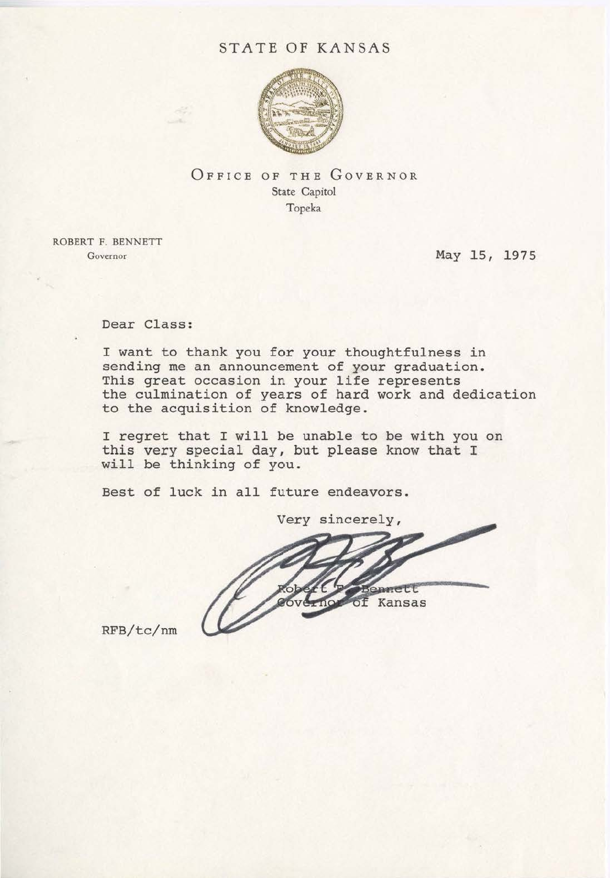# STATE OF KANSAS



OFFICE OF THE GOVERNOR State Capitol Topeka

ROBERT F. BENNETT Governor

May 15, 1975

Dear Class:

I want to thank you for your thoughtfulness in sending me an announcement of your graduation. This great occasion in your life represents the culmination of years of hard work and dedication to the acquisition of knowledge .

I regret that I will be unable to be with you on this very special day, but please know that I will be thinking of you.

Best of luck in all future endeavors.

Very sincerely, Kansas οf

RFB/tc/nm